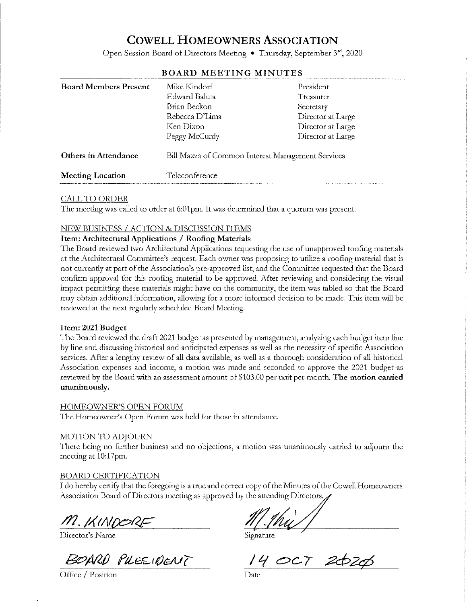# **COWELL HOMEOWNERS ASSOCIATION**

Open Session Board of Directors Meeting • Thursday, September 3rd, 2020

| <b>Board Members Present</b> | Mike Kindorf<br>Edward Baluta<br>Brian Beckon<br>Rebecca D'Lima<br>Ken Dixon<br>Peggy McCurdy | President<br>Treasurer<br>Secretary<br>Director at Large<br>Director at Large<br>Director at Large |
|------------------------------|-----------------------------------------------------------------------------------------------|----------------------------------------------------------------------------------------------------|
| Others in Attendance         | Bill Mazza of Common Interest Management Services                                             |                                                                                                    |
| <b>Meeting Location</b>      | Teleconference                                                                                |                                                                                                    |

## **BOARD MEETING MINUTES**

## **CALL TO ORDER**

The meeting was called to order at 6:01pm. It was determined that a quorum was present.

# NEW BUSINESS / ACTION & DISCUSSION ITEMS

## Item: Architectural Applications / Roofing Materials

The Board reviewed two Architectural Applications requesting the use of unapproved roofing materials at the Architectural Committee's request. Each owner was proposing to utilize a roofing material that is not currently at part of the Association's pre-approved list, and the Committee requested that the Board confirm approval for this roofing material to be approved. After reviewing and considering the visual impact permitting these materials might have on the community, the item was tabled so that the Board may obtain additional information, allowing for a more informed decision to be made. This item will be reviewed at the next regularly scheduled Board Meeting.

#### Item: 2021 Budget

The Board reviewed the draft 2021 budget as presented by management, analyzing each budget item line by line and discussing historical and anticipated expenses as well as the necessity of specific Association services. After a lengthy review of all data available, as well as a thorough consideration of all historical Association expenses and income, a motion was made and seconded to approve the 2021 budget as reviewed by the Board with an assessment amount of \$103.00 per unit per month. The motion carried unanimously.

#### HOMEOWNER'S OPEN FORUM

The Homeowner's Open Forum was held for those in attendance.

#### **MOTION TO ADJOURN**

There being no further business and no objections, a motion was unanimously carried to adjourn the meeting at 10:17pm.

#### **BOARD CERTIFICATION**

I do hereby certify that the foregoing is a true and correct copy of the Minutes of the Cowell Homeowners Association Board of Directors meeting as approved by the attending Directors.

M. KINDORI

Director's Name

BOARD PUESIDENT

Office / Position

Signature

2020  $CCT$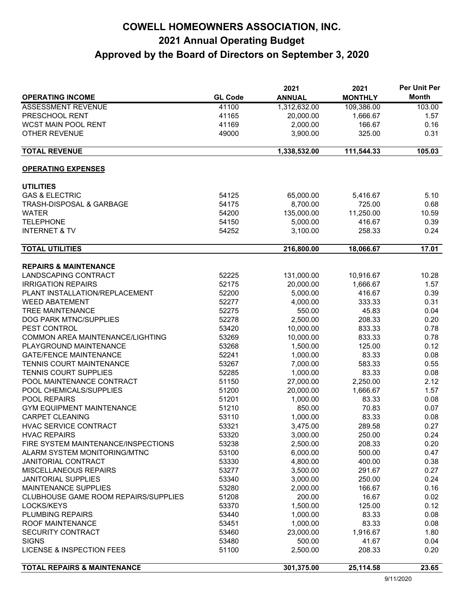# **COWELL HOMEOWNERS ASSOCIATION, INC. 2021 Annual Operating Budget Approved by the Board of Directors on September 3, 2020**

|                                             |                | 2021          | 2021           | Per Unit Per |
|---------------------------------------------|----------------|---------------|----------------|--------------|
| <b>OPERATING INCOME</b>                     | <b>GL Code</b> | <b>ANNUAL</b> | <b>MONTHLY</b> | <b>Month</b> |
| <b>ASSESSMENT REVENUE</b>                   | 41100          | 1,312,632.00  | 109,386.00     | 103.00       |
| PRESCHOOL RENT                              | 41165          | 20,000.00     | 1,666.67       | 1.57         |
| WCST MAIN POOL RENT                         | 41169          | 2,000.00      | 166.67         | 0.16         |
| <b>OTHER REVENUE</b>                        | 49000          | 3,900.00      | 325.00         | 0.31         |
| <b>TOTAL REVENUE</b>                        |                | 1,338,532.00  | 111,544.33     | 105.03       |
|                                             |                |               |                |              |
| <b>OPERATING EXPENSES</b>                   |                |               |                |              |
| <b>UTILITIES</b>                            |                |               |                |              |
| <b>GAS &amp; ELECTRIC</b>                   | 54125          | 65,000.00     | 5,416.67       | 5.10         |
| <b>TRASH-DISPOSAL &amp; GARBAGE</b>         | 54175          | 8,700.00      | 725.00         | 0.68         |
| <b>WATER</b>                                | 54200          | 135,000.00    | 11,250.00      | 10.59        |
| <b>TELEPHONE</b>                            | 54150          | 5,000.00      | 416.67         | 0.39         |
| <b>INTERNET &amp; TV</b>                    | 54252          | 3,100.00      | 258.33         | 0.24         |
| <b>TOTAL UTILITIES</b>                      |                | 216,800.00    | 18,066.67      | 17.01        |
| <b>REPAIRS &amp; MAINTENANCE</b>            |                |               |                |              |
| LANDSCAPING CONTRACT                        | 52225          | 131,000.00    | 10,916.67      | 10.28        |
| <b>IRRIGATION REPAIRS</b>                   | 52175          | 20,000.00     | 1,666.67       | 1.57         |
| PLANT INSTALLATION/REPLACEMENT              | 52200          | 5,000.00      | 416.67         | 0.39         |
| <b>WEED ABATEMENT</b>                       | 52277          | 4,000.00      | 333.33         | 0.31         |
| <b>TREE MAINTENANCE</b>                     | 52275          | 550.00        | 45.83          | 0.04         |
| DOG PARK MTNC/SUPPLIES                      | 52278          | 2,500.00      | 208.33         | 0.20         |
| PEST CONTROL                                | 53420          | 10,000.00     | 833.33         | 0.78         |
| COMMON AREA MAINTENANCE/LIGHTING            | 53269          | 10,000.00     | 833.33         | 0.78         |
| PLAYGROUND MAINTENANCE                      | 53268          | 1,500.00      | 125.00         | 0.12         |
| <b>GATE/FENCE MAINTENANCE</b>               | 52241          | 1,000.00      | 83.33          | 0.08         |
| <b>TENNIS COURT MAINTENANCE</b>             | 53267          | 7,000.00      | 583.33         | 0.55         |
| TENNIS COURT SUPPLIES                       | 52285          | 1,000.00      | 83.33          | 0.08         |
| POOL MAINTENANCE CONTRACT                   | 51150          | 27,000.00     | 2,250.00       | 2.12         |
| POOL CHEMICALS/SUPPLIES                     | 51200          | 20,000.00     | 1,666.67       | 1.57         |
| POOL REPAIRS                                | 51201          | 1,000.00      | 83.33          | 0.08         |
| <b>GYM EQUIPMENT MAINTENANCE</b>            | 51210          | 850.00        | 70.83          | 0.07         |
| <b>CARPET CLEANING</b>                      | 53110          | 1,000.00      | 83.33          | 0.08         |
| HVAC SERVICE CONTRACT                       | 53321          | 3,475.00      | 289.58         | 0.27         |
| <b>HVAC REPAIRS</b>                         | 53320          | 3,000.00      | 250.00         | 0.24         |
| FIRE SYSTEM MAINTENANCE/INSPECTIONS         | 53238          | 2,500.00      | 208.33         | 0.20         |
| ALARM SYSTEM MONITORING/MTNC                | 53100          | 6,000.00      | 500.00         | 0.47         |
| <b>JANITORIAL CONTRACT</b>                  | 53330          | 4,800.00      | 400.00         | 0.38         |
| <b>MISCELLANEOUS REPAIRS</b>                | 53277          | 3,500.00      | 291.67         | 0.27         |
| <b>JANITORIAL SUPPLIES</b>                  | 53340          | 3,000.00      | 250.00         | 0.24         |
| MAINTENANCE SUPPLIES                        | 53280          | 2,000.00      | 166.67         | 0.16         |
| <b>CLUBHOUSE GAME ROOM REPAIRS/SUPPLIES</b> | 51208          | 200.00        | 16.67          | 0.02         |
| LOCKS/KEYS                                  | 53370          | 1,500.00      | 125.00         | 0.12         |
| PLUMBING REPAIRS                            | 53440          | 1,000.00      | 83.33          | 0.08         |
| ROOF MAINTENANCE                            | 53451          | 1,000.00      | 83.33          | 0.08         |
| <b>SECURITY CONTRACT</b>                    | 53460          | 23,000.00     | 1,916.67       | 1.80         |
| <b>SIGNS</b>                                | 53480          | 500.00        | 41.67          | 0.04         |
| LICENSE & INSPECTION FEES                   | 51100          | 2,500.00      | 208.33         | 0.20         |
|                                             |                |               |                |              |
| <b>TOTAL REPAIRS &amp; MAINTENANCE</b>      |                | 301,375.00    | 25,114.58      | 23.65        |